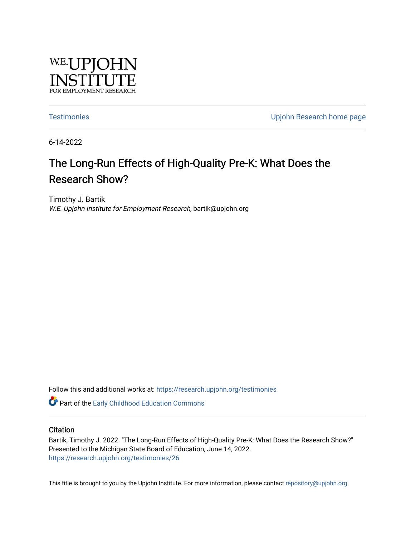

[Testimonies](https://research.upjohn.org/testimonies) [Upjohn Research home page](https://research.upjohn.org/) 

6-14-2022

# The Long-Run Effects of High-Quality Pre-K: What Does the Research Show?

Timothy J. Bartik W.E. Upjohn Institute for Employment Research, bartik@upjohn.org

Follow this and additional works at: [https://research.upjohn.org/testimonies](https://research.upjohn.org/testimonies?utm_source=research.upjohn.org%2Ftestimonies%2F26&utm_medium=PDF&utm_campaign=PDFCoverPages)

**C** Part of the Early Childhood Education Commons

### **Citation**

Bartik, Timothy J. 2022. "The Long-Run Effects of High-Quality Pre-K: What Does the Research Show?" Presented to the Michigan State Board of Education, June 14, 2022. <https://research.upjohn.org/testimonies/26>

This title is brought to you by the Upjohn Institute. For more information, please contact [repository@upjohn.org](mailto:repository@upjohn.org).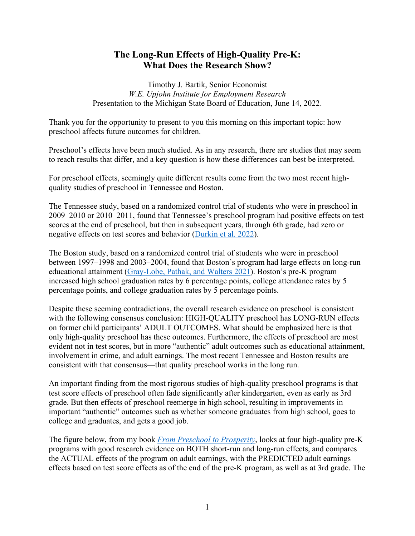## **The Long-Run Effects of High-Quality Pre-K: What Does the Research Show?**

Timothy J. Bartik, Senior Economist *W.E. Upjohn Institute for Employment Research*  Presentation to the Michigan State Board of Education, June 14, 2022.

Thank you for the opportunity to present to you this morning on this important topic: how preschool affects future outcomes for children.

Preschool's effects have been much studied. As in any research, there are studies that may seem to reach results that differ, and a key question is how these differences can best be interpreted.

For preschool effects, seemingly quite different results come from the two most recent highquality studies of preschool in Tennessee and Boston.

The Tennessee study, based on a randomized control trial of students who were in preschool in 2009–2010 or 2010–2011, found that Tennessee's preschool program had positive effects on test scores at the end of preschool, but then in subsequent years, through 6th grade, had zero or negative effects on test scores and behavior [\(Durkin et al. 2022\)](https://psycnet.apa.org/record/2022-18712-001).

The Boston study, based on a randomized control trial of students who were in preschool between 1997–1998 and 2003–2004, found that Boston's program had large effects on long-run educational attainment [\(Gray-Lobe, Pathak, and Walters 2021\)](https://www.nber.org/papers/w28756). Boston's pre-K program increased high school graduation rates by 6 percentage points, college attendance rates by 5 percentage points, and college graduation rates by 5 percentage points.

Despite these seeming contradictions, the overall research evidence on preschool is consistent with the following consensus conclusion: HIGH-QUALITY preschool has LONG-RUN effects on former child participants' ADULT OUTCOMES. What should be emphasized here is that only high-quality preschool has these outcomes. Furthermore, the effects of preschool are most evident not in test scores, but in more "authentic" adult outcomes such as educational attainment, involvement in crime, and adult earnings. The most recent Tennessee and Boston results are consistent with that consensus—that quality preschool works in the long run.

An important finding from the most rigorous studies of high-quality preschool programs is that test score effects of preschool often fade significantly after kindergarten, even as early as 3rd grade. But then effects of preschool reemerge in high school, resulting in improvements in important "authentic" outcomes such as whether someone graduates from high school, goes to college and graduates, and gets a good job.

The figure below, from my book *[From Preschool to Prosperity](https://research.upjohn.org/up_press/228/)*, looks at four high-quality pre-K programs with good research evidence on BOTH short-run and long-run effects, and compares the ACTUAL effects of the program on adult earnings, with the PREDICTED adult earnings effects based on test score effects as of the end of the pre-K program, as well as at 3rd grade. The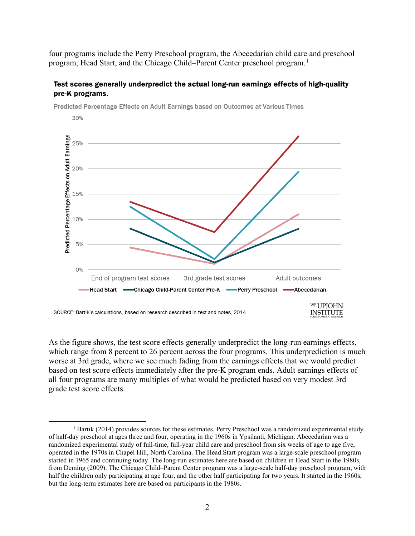four programs include the Perry Preschool program, the Abecedarian child care and preschool program, Head Start, and the Chicago Child–Parent Center preschool program.<sup>[1](#page-2-0)</sup>

## Test scores generally underpredict the actual long-run earnings effects of high-quality pre-K programs.



Predicted Percentage Effects on Adult Earnings based on Outcomes at Various Times

As the figure shows, the test score effects generally underpredict the long-run earnings effects, which range from 8 percent to 26 percent across the four programs. This underprediction is much worse at 3rd grade, where we see much fading from the earnings effects that we would predict based on test score effects immediately after the pre-K program ends. Adult earnings effects of all four programs are many multiples of what would be predicted based on very modest 3rd grade test score effects.

<span id="page-2-0"></span><sup>&</sup>lt;sup>1</sup> Bartik (2014) provides sources for these estimates. Perry Preschool was a randomized experimental study of half-day preschool at ages three and four, operating in the 1960s in Ypsilanti, Michigan. Abecedarian was a randomized experimental study of full-time, full-year child care and preschool from six weeks of age to age five, operated in the 1970s in Chapel Hill, North Carolina. The Head Start program was a large-scale preschool program started in 1965 and continuing today. The long-run estimates here are based on children in Head Start in the 1980s, from Deming (2009). The Chicago Child–Parent Center program was a large-scale half-day preschool program, with half the children only participating at age four, and the other half participating for two years. It started in the 1960s, but the long-term estimates here are based on participants in the 1980s.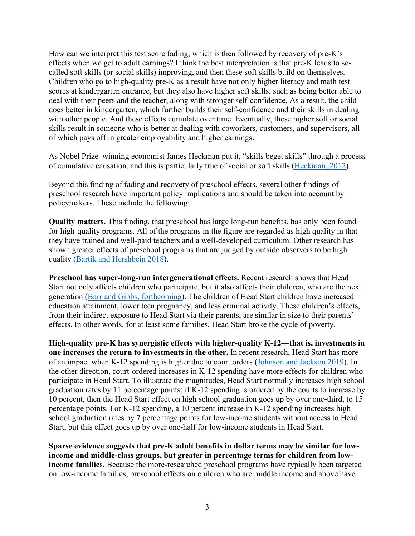How can we interpret this test score fading, which is then followed by recovery of pre-K's effects when we get to adult earnings? I think the best interpretation is that pre-K leads to socalled soft skills (or social skills) improving, and then these soft skills build on themselves. Children who go to high-quality pre-K as a result have not only higher literacy and math test scores at kindergarten entrance, but they also have higher soft skills, such as being better able to deal with their peers and the teacher, along with stronger self-confidence. As a result, the child does better in kindergarten, which further builds their self-confidence and their skills in dealing with other people. And these effects cumulate over time. Eventually, these higher soft or social skills result in someone who is better at dealing with coworkers, customers, and supervisors, all of which pays off in greater employability and higher earnings.

As Nobel Prize–winning economist James Heckman put it, "skills beget skills" through a process of cumulative causation, and this is particularly true of social or soft skills [\(Heckman, 2012\)](https://heckmanequation.org/resource/skills-beget-skills/).

Beyond this finding of fading and recovery of preschool effects, several other findings of preschool research have important policy implications and should be taken into account by policymakers. These include the following:

**Quality matters.** This finding, that preschool has large long-run benefits, has only been found for high-quality programs. All of the programs in the figure are regarded as high quality in that they have trained and well-paid teachers and a well-developed curriculum. Other research has shown greater effects of preschool programs that are judged by outside observers to be high quality [\(Bartik and Hershbein 2018\)](https://research.upjohn.org/up_workingpapers/285/).

**Preschool has super-long-run intergenerational effects.** Recent research shows that Head Start not only affects children who participate, but it also affects their children, who are the next generation [\(Barr and Gibbs, forthcoming\)](https://www.journals.uchicago.edu/doi/10.1086/720764). The children of Head Start children have increased education attainment, lower teen pregnancy, and less criminal activity. These children's effects, from their indirect exposure to Head Start via their parents, are similar in size to their parents' effects. In other words, for at least some families, Head Start broke the cycle of poverty.

**High-quality pre-K has synergistic effects with higher-quality K-12—that is, investments in one increases the return to investments in the other.** In recent research, Head Start has more of an impact when K-12 spending is higher due to court orders [\(Johnson and Jackson 2019\)](https://www.aeaweb.org/articles?id=10.1257/pol.20180510). In the other direction, court-ordered increases in K-12 spending have more effects for children who participate in Head Start. To illustrate the magnitudes, Head Start normally increases high school graduation rates by 11 percentage points; if K-12 spending is ordered by the courts to increase by 10 percent, then the Head Start effect on high school graduation goes up by over one-third, to 15 percentage points. For K-12 spending, a 10 percent increase in K-12 spending increases high school graduation rates by 7 percentage points for low-income students without access to Head Start, but this effect goes up by over one-half for low-income students in Head Start.

**Sparse evidence suggests that pre-K adult benefits in dollar terms may be similar for lowincome and middle-class groups, but greater in percentage terms for children from lowincome families.** Because the more-researched preschool programs have typically been targeted on low-income families, preschool effects on children who are middle income and above have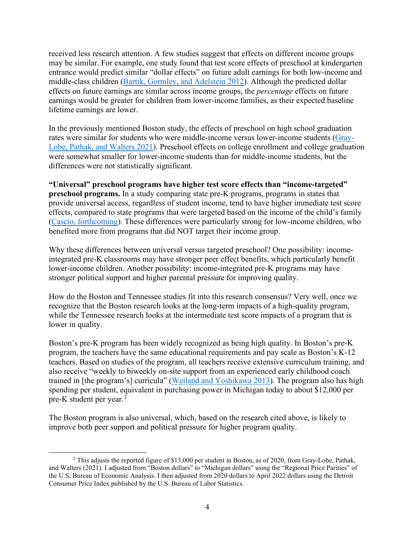received less research attention. A few studies suggest that effects on different income groups may be similar. For example, one study found that test score effects of preschool at kindergarten entrance would predict similar "dollar effects" on future adult earnings for both low-income and middle-class children [\(Bartik, Gormley, and Adelstein 2012\)](https://www.sciencedirect.com/science/article/pii/S0272775712001021). Although the predicted dollar effects on future earnings are similar across income groups, the *percentage* effects on future earnings would be greater for children from lower-income families, as their expected baseline lifetime earnings are lower.

In the previously mentioned Boston study, the effects of preschool on high school graduation rates were similar for students who were middle-income versus lower-income students [\(Gray-](https://www.nber.org/papers/w28756)[Lobe, Pathak, and Walters 2021\)](https://www.nber.org/papers/w28756). Preschool effects on college enrollment and college graduation were somewhat smaller for lower-income students than for middle-income students, but the differences were not statistically significant.

**"Universal" preschool programs have higher test score effects than "income-targeted" preschool programs.** In a study comparing state pre-K programs, programs in states that provide universal access, regardless of student income, tend to have higher immediate test score effects, compared to state programs that were targeted based on the income of the child's family [\(Cascio, forthcoming\)](http://jhr.uwpress.org/content/early/2021/01/04/jhr.58.3.0220-10728R1.abstract). These differences were particularly strong for low-income children, who benefited more from programs that did NOT target their income group.

Why these differences between universal versus targeted preschool? One possibility: incomeintegrated pre-K classrooms may have stronger peer effect benefits, which particularly benefit lower-income children. Another possibility: income-integrated pre-K programs may have stronger political support and higher parental pressure for improving quality.

How do the Boston and Tennessee studies fit into this research consensus? Very well, once we recognize that the Boston research looks at the long-term impacts of a high-quality program, while the Tennessee research looks at the intermediate test score impacts of a program that is lower in quality.

Boston's pre-K program has been widely recognized as being high quality. In Boston's pre-K program, the teachers have the same educational requirements and pay scale as Boston's K-12 teachers. Based on studies of the program, all teachers receive extensive curriculum training, and also receive "weekly to biweekly on-site support from an experienced early childhood coach trained in [the program's] curricula" [\(Weiland and Yoshikawa 2013\)](https://srcd.onlinelibrary.wiley.com/doi/abs/10.1111/cdev.12099). The program also has high spending per student, equivalent in purchasing power in Michigan today to about \$12,000 per pre-K student per year.<sup>[2](#page-4-0)</sup>

The Boston program is also universal, which, based on the research cited above, is likely to improve both peer support and political pressure for higher program quality.

<span id="page-4-0"></span><sup>2</sup> This adjusts the reported figure of \$13,000 per student in Boston, as of 2020, from Gray-Lobe, Pathak, and Walters (2021). I adjusted from "Boston dollars" to "Michigan dollars" using the "Regional Price Parities" of the U.S. Bureau of Economic Analysis. I then adjusted from 2020 dollars to April 2022 dollars using the Detroit Consumer Price Index published by the U.S. Bureau of Labor Statistics.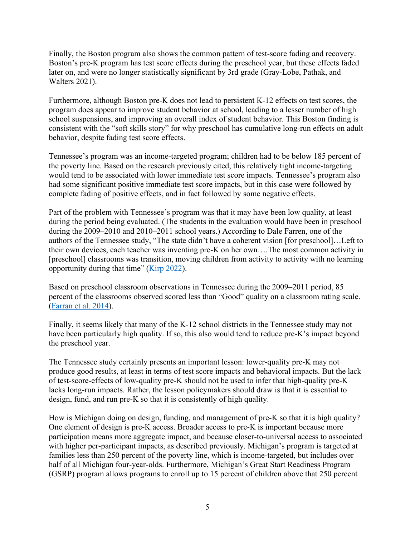Finally, the Boston program also shows the common pattern of test-score fading and recovery. Boston's pre-K program has test score effects during the preschool year, but these effects faded later on, and were no longer statistically significant by 3rd grade (Gray-Lobe, Pathak, and Walters 2021).

Furthermore, although Boston pre-K does not lead to persistent K-12 effects on test scores, the program does appear to improve student behavior at school, leading to a lesser number of high school suspensions, and improving an overall index of student behavior. This Boston finding is consistent with the "soft skills story" for why preschool has cumulative long-run effects on adult behavior, despite fading test score effects.

Tennessee's program was an income-targeted program; children had to be below 185 percent of the poverty line. Based on the research previously cited, this relatively tight income-targeting would tend to be associated with lower immediate test score impacts. Tennessee's program also had some significant positive immediate test score impacts, but in this case were followed by complete fading of positive effects, and in fact followed by some negative effects.

Part of the problem with Tennessee's program was that it may have been low quality, at least during the period being evaluated. (The students in the evaluation would have been in preschool during the 2009–2010 and 2010–2011 school years.) According to Dale Farren, one of the authors of the Tennessee study, "The state didn't have a coherent vision [for preschool]…Left to their own devices, each teacher was inventing pre-K on her own….The most common activity in [preschool] classrooms was transition, moving children from activity to activity with no learning opportunity during that time" [\(Kirp 2022\)](https://www.nytimes.com/2022/05/06/opinion/politics/pre-k-education-children.html).

Based on preschool classroom observations in Tennessee during the 2009–2011 period, 85 percent of the classrooms observed scored less than "Good" quality on a classroom rating scale. [\(Farran et al. 2014\)](https://my.vanderbilt.edu/tnprekevaluation/files/2014/03/Farran-SREE-Spring-2014-Presentation.pdf).

Finally, it seems likely that many of the K-12 school districts in the Tennessee study may not have been particularly high quality. If so, this also would tend to reduce pre-K's impact beyond the preschool year.

The Tennessee study certainly presents an important lesson: lower-quality pre-K may not produce good results, at least in terms of test score impacts and behavioral impacts. But the lack of test-score-effects of low-quality pre-K should not be used to infer that high-quality pre-K lacks long-run impacts. Rather, the lesson policymakers should draw is that it is essential to design, fund, and run pre-K so that it is consistently of high quality.

How is Michigan doing on design, funding, and management of pre-K so that it is high quality? One element of design is pre-K access. Broader access to pre-K is important because more participation means more aggregate impact, and because closer-to-universal access to associated with higher per-participant impacts, as described previously. Michigan's program is targeted at families less than 250 percent of the poverty line, which is income-targeted, but includes over half of all Michigan four-year-olds. Furthermore, Michigan's Great Start Readiness Program (GSRP) program allows programs to enroll up to 15 percent of children above that 250 percent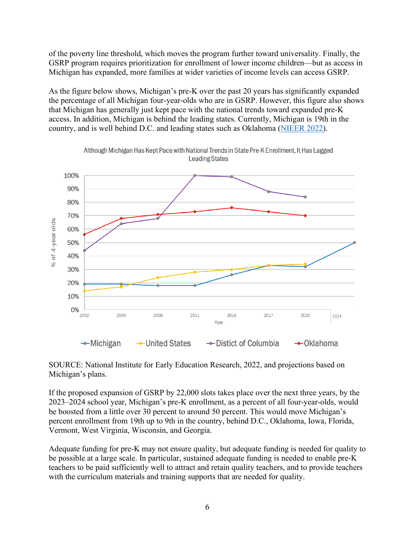of the poverty line threshold, which moves the program further toward universality. Finally, the GSRP program requires prioritization for enrollment of lower income children—but as access in Michigan has expanded, more families at wider varieties of income levels can access GSRP.

As the figure below shows, Michigan's pre-K over the past 20 years has significantly expanded the percentage of all Michigan four-year-olds who are in GSRP. However, this figure also shows that Michigan has generally just kept pace with the national trends toward expanded pre-K access. In addition, Michigan is behind the leading states. Currently, Michigan is 19th in the country, and is well behind D.C. and leading states such as Oklahoma [\(NIEER 2022\)](https://nieer.org/state-preschool-yearbooks-yearbook2021).



Although Michigan Has Kept Pace with National Trends in State Pre-K Enrollment, It Has Lagged **Leading States** 

SOURCE: National Institute for Early Education Research, 2022, and projections based on Michigan's plans.

If the proposed expansion of GSRP by 22,000 slots takes place over the next three years, by the 2023–2024 school year, Michigan's pre-K enrollment, as a percent of all four-year-olds, would be boosted from a little over 30 percent to around 50 percent. This would move Michigan's percent enrollment from 19th up to 9th in the country, behind D.C., Oklahoma, Iowa, Florida, Vermont, West Virginia, Wisconsin, and Georgia.

Adequate funding for pre-K may not ensure quality, but adequate funding is needed for quality to be possible at a large scale. In particular, sustained adequate funding is needed to enable pre-K teachers to be paid sufficiently well to attract and retain quality teachers, and to provide teachers with the curriculum materials and training supports that are needed for quality.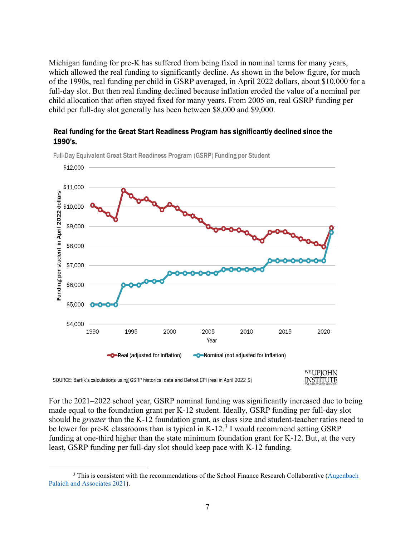Michigan funding for pre-K has suffered from being fixed in nominal terms for many years, which allowed the real funding to significantly decline. As shown in the below figure, for much of the 1990s, real funding per child in GSRP averaged, in April 2022 dollars, about \$10,000 for a full-day slot. But then real funding declined because inflation eroded the value of a nominal per child allocation that often stayed fixed for many years. From 2005 on, real GSRP funding per child per full-day slot generally has been between \$8,000 and \$9,000.

## Real funding for the Great Start Readiness Program has significantly declined since the 1990's.



Full-Day Equivalent Great Start Readiness Program (GSRP) Funding per Student

For the 2021–2022 school year, GSRP nominal funding was significantly increased due to being made equal to the foundation grant per K-12 student. Ideally, GSRP funding per full-day slot should be *greater* than the K-12 foundation grant, as class size and student-teacher ratios need to be lower for pre-K classrooms than is typical in K-12. $3$  I would recommend setting GSRP funding at one-third higher than the state minimum foundation grant for K-12. But, at the very least, GSRP funding per full-day slot should keep pace with K-12 funding.

<span id="page-7-0"></span><sup>&</sup>lt;sup>3</sup> This is consistent with the recommendations of the School Finance Research Collaborative (Augenbach [Palaich and Associates 2021\)](https://www.fundmischools.org/wp-content/uploads/2021/06/Michigan-Report-5.21.20-FINAL-.pdf).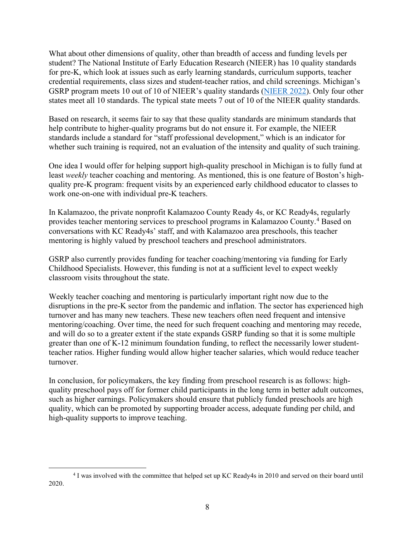What about other dimensions of quality, other than breadth of access and funding levels per student? The National Institute of Early Education Research (NIEER) has 10 quality standards for pre-K, which look at issues such as early learning standards, curriculum supports, teacher credential requirements, class sizes and student-teacher ratios, and child screenings. Michigan's GSRP program meets 10 out of 10 of NIEER's quality standards [\(NIEER 2022\)](https://nieer.org/state-preschool-yearbooks-yearbook2021). Only four other states meet all 10 standards. The typical state meets 7 out of 10 of the NIEER quality standards.

Based on research, it seems fair to say that these quality standards are minimum standards that help contribute to higher-quality programs but do not ensure it. For example, the NIEER standards include a standard for "staff professional development," which is an indicator for whether such training is required, not an evaluation of the intensity and quality of such training.

One idea I would offer for helping support high-quality preschool in Michigan is to fully fund at least *weekly* teacher coaching and mentoring. As mentioned, this is one feature of Boston's highquality pre-K program: frequent visits by an experienced early childhood educator to classes to work one-on-one with individual pre-K teachers.

In Kalamazoo, the private nonprofit Kalamazoo County Ready 4s, or KC Ready4s, regularly provides teacher mentoring services to preschool programs in Kalamazoo County.<sup>[4](#page-8-0)</sup> Based on conversations with KC Ready4s' staff, and with Kalamazoo area preschools, this teacher mentoring is highly valued by preschool teachers and preschool administrators.

GSRP also currently provides funding for teacher coaching/mentoring via funding for Early Childhood Specialists. However, this funding is not at a sufficient level to expect weekly classroom visits throughout the state.

Weekly teacher coaching and mentoring is particularly important right now due to the disruptions in the pre-K sector from the pandemic and inflation. The sector has experienced high turnover and has many new teachers. These new teachers often need frequent and intensive mentoring/coaching. Over time, the need for such frequent coaching and mentoring may recede, and will do so to a greater extent if the state expands GSRP funding so that it is some multiple greater than one of K-12 minimum foundation funding, to reflect the necessarily lower studentteacher ratios. Higher funding would allow higher teacher salaries, which would reduce teacher turnover.

In conclusion, for policymakers, the key finding from preschool research is as follows: highquality preschool pays off for former child participants in the long term in better adult outcomes, such as higher earnings. Policymakers should ensure that publicly funded preschools are high quality, which can be promoted by supporting broader access, adequate funding per child, and high-quality supports to improve teaching.

<span id="page-8-0"></span><sup>4</sup> I was involved with the committee that helped set up KC Ready4s in 2010 and served on their board until 2020.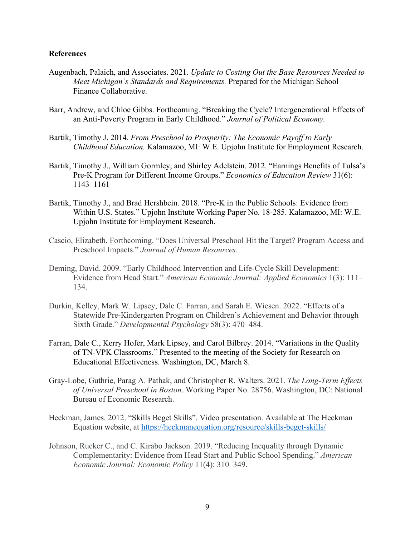## **References**

- Augenbach, Palaich, and Associates. 2021. *Update to Costing Out the Base Resources Needed to Meet Michigan's Standards and Requirements.* Prepared for the Michigan School Finance Collaborative.
- Barr, Andrew, and Chloe Gibbs. Forthcoming. "Breaking the Cycle? Intergenerational Effects of an Anti-Poverty Program in Early Childhood." *Journal of Political Economy.*
- Bartik, Timothy J. 2014. *From Preschool to Prosperity: The Economic Payoff to Early Childhood Education.* Kalamazoo, MI: W.E. Upjohn Institute for Employment Research.
- Bartik, Timothy J., William Gormley, and Shirley Adelstein. 2012. "Earnings Benefits of Tulsa's Pre-K Program for Different Income Groups." *Economics of Education Review* 31(6): 1143–1161
- Bartik, Timothy J., and Brad Hershbein. 2018. "Pre-K in the Public Schools: Evidence from Within U.S. States." Upjohn Institute Working Paper No. 18-285. Kalamazoo, MI: W.E. Upjohn Institute for Employment Research.
- Cascio, Elizabeth. Forthcoming. "Does Universal Preschool Hit the Target? Program Access and Preschool Impacts." *Journal of Human Resources.*
- Deming, David. 2009. "Early Childhood Intervention and Life-Cycle Skill Development: Evidence from Head Start." *American Economic Journal: Applied Economics* 1(3): 111– 134.
- Durkin, Kelley, Mark W. Lipsey, Dale C. Farran, and Sarah E. Wiesen. 2022. "Effects of a Statewide Pre-Kindergarten Program on Children's Achievement and Behavior through Sixth Grade." *Developmental Psychology* 58(3): 470–484.
- Farran, Dale C., Kerry Hofer, Mark Lipsey, and Carol Bilbrey. 2014. "Variations in the Quality of TN-VPK Classrooms." Presented to the meeting of the Society for Research on Educational Effectiveness. Washington, DC, March 8.
- Gray-Lobe, Guthrie, Parag A. Pathak, and Christopher R. Walters. 2021. *The Long-Term Effects of Universal Preschool in Boston*. Working Paper No. 28756. Washington, DC: National Bureau of Economic Research.
- Heckman, James. 2012. "Skills Beget Skills". Video presentation. Available at The Heckman Equation website, at<https://heckmanequation.org/resource/skills-beget-skills/>
- Johnson, Rucker C., and C. Kirabo Jackson. 2019. "Reducing Inequality through Dynamic Complementarity: Evidence from Head Start and Public School Spending." *American Economic Journal: Economic Policy* 11(4): 310–349.